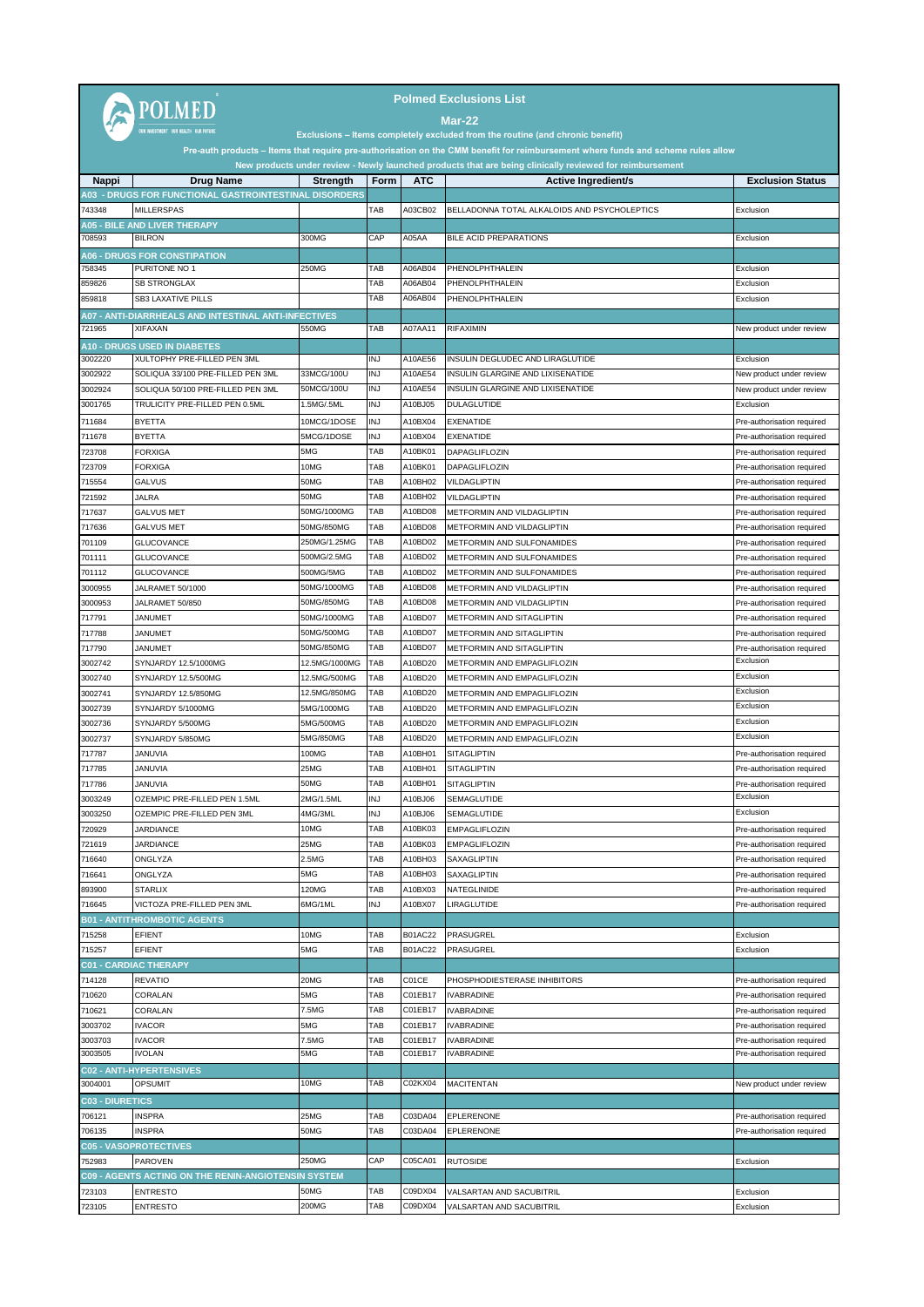| <b>Polmed Exclusions List</b><br><b>POLMED</b><br>Mar-22<br>Exclusions - Items completely excluded from the routine (and chronic benefit)                                                                                                    |                                                                        |                            |                          |                    |                                                            |                                                          |  |
|----------------------------------------------------------------------------------------------------------------------------------------------------------------------------------------------------------------------------------------------|------------------------------------------------------------------------|----------------------------|--------------------------|--------------------|------------------------------------------------------------|----------------------------------------------------------|--|
| Pre-auth products – Items that require pre-authorisation on the CMM benefit for reimbursement where funds and scheme rules allow<br>New products under review - Newly launched products that are being clinically reviewed for reimbursement |                                                                        |                            |                          |                    |                                                            |                                                          |  |
| Nappi                                                                                                                                                                                                                                        | <b>Drug Name</b>                                                       | Strength                   | Form                     | <b>ATC</b>         | <b>Active Ingredient/s</b>                                 | <b>Exclusion Status</b>                                  |  |
|                                                                                                                                                                                                                                              | <b>A03 - DRUGS FOR FUNCTIONAL GASTROINTESTINAL DISORDERS</b>           |                            |                          |                    |                                                            |                                                          |  |
| 743348                                                                                                                                                                                                                                       | <b>MILLERSPAS</b>                                                      |                            | ТАВ                      | A03CB02            | BELLADONNA TOTAL ALKALOIDS AND PSYCHOLEPTICS               | Exclusion                                                |  |
| 708593                                                                                                                                                                                                                                       | <b>A05 - BILE AND LIVER THERAPY</b><br><b>BILRON</b>                   | 300MG                      | CAP                      | A05AA              | BILE ACID PREPARATIONS                                     | Exclusion                                                |  |
|                                                                                                                                                                                                                                              | <b>406 - DRUGS FOR CONSTIPATION</b>                                    |                            |                          |                    |                                                            |                                                          |  |
| 758345                                                                                                                                                                                                                                       | PURITONE NO 1                                                          | 250MG                      | TAB                      | A06AB04            | PHENOLPHTHALEIN                                            | Exclusion                                                |  |
| 859826                                                                                                                                                                                                                                       | <b>SB STRONGLAX</b>                                                    |                            | TAB                      | A06AB04            | PHENOLPHTHALEIN                                            | Exclusion                                                |  |
| 859818                                                                                                                                                                                                                                       | SB3 LAXATIVE PILLS                                                     |                            | TAB                      | A06AB04            | PHENOLPHTHALEIN                                            | Exclusion                                                |  |
| 721965                                                                                                                                                                                                                                       | A07 - ANTI-DIARRHEALS AND INTESTINAL ANTI-INFECTIVES<br><b>XIFAXAN</b> | 550MG                      | TAB                      | A07AA11            | <b>RIFAXIMIN</b>                                           | New product under review                                 |  |
|                                                                                                                                                                                                                                              | <b>A10 - DRUGS USED IN DIABETES</b>                                    |                            |                          |                    |                                                            |                                                          |  |
| 3002220                                                                                                                                                                                                                                      | XULTOPHY PRE-FILLED PEN 3ML                                            |                            | INJ                      | A10AE56            | INSULIN DEGLUDEC AND LIRAGLUTIDE                           | Exclusion                                                |  |
| 3002922                                                                                                                                                                                                                                      | SOLIQUA 33/100 PRE-FILLED PEN 3ML                                      | 33MCG/100U                 | <b>INJ</b>               | A10AE54            | INSULIN GLARGINE AND LIXISENATIDE                          | New product under review                                 |  |
| 3002924                                                                                                                                                                                                                                      | SOLIQUA 50/100 PRE-FILLED PEN 3ML                                      | 50MCG/100U                 | <b>INJ</b>               | A10AE54            | INSULIN GLARGINE AND LIXISENATIDE                          | New product under review                                 |  |
| 3001765                                                                                                                                                                                                                                      | TRULICITY PRE-FILLED PEN 0.5ML                                         | 1.5MG/.5ML                 | <b>INJ</b>               | A10BJ05            | <b>DULAGLUTIDE</b>                                         | Exclusion                                                |  |
| 711684<br>711678                                                                                                                                                                                                                             | <b>BYETTA</b><br><b>BYETTA</b>                                         | 10MCG/1DOSE<br>5MCG/1DOSE  | <b>INJ</b><br><b>INJ</b> | A10BX04<br>A10BX04 | <b>EXENATIDE</b><br>EXENATIDE                              | Pre-authorisation required<br>Pre-authorisation required |  |
| 723708                                                                                                                                                                                                                                       | <b>FORXIGA</b>                                                         | 5MG                        | TAB                      | A10BK01            | <b>DAPAGLIFLOZIN</b>                                       | Pre-authorisation required                               |  |
| 723709                                                                                                                                                                                                                                       | <b>FORXIGA</b>                                                         | 10MG                       | TAB                      | A10BK01            | DAPAGLIFLOZIN                                              | Pre-authorisation required                               |  |
| 715554                                                                                                                                                                                                                                       | <b>GALVUS</b>                                                          | 50MG                       | TAB                      | A10BH02            | VILDAGLIPTIN                                               | Pre-authorisation required                               |  |
| 721592                                                                                                                                                                                                                                       | JALRA                                                                  | 50MG                       | TAB                      | A10BH02            | VILDAGLIPTIN                                               | Pre-authorisation required                               |  |
| 717637                                                                                                                                                                                                                                       | <b>GALVUS MET</b>                                                      | 50MG/1000MG                | TAB                      | A10BD08            | METFORMIN AND VILDAGLIPTIN                                 | Pre-authorisation required                               |  |
| 717636<br>701109                                                                                                                                                                                                                             | <b>GALVUS MET</b><br><b>GLUCOVANCE</b>                                 | 50MG/850MG<br>250MG/1.25MG | TAB<br>TAB               | A10BD08<br>A10BD02 | METFORMIN AND VILDAGLIPTIN<br>METFORMIN AND SULFONAMIDES   | Pre-authorisation required<br>Pre-authorisation required |  |
| 701111                                                                                                                                                                                                                                       | GLUCOVANCE                                                             | 500MG/2.5MG                | TAB                      | A10BD02            | METFORMIN AND SULFONAMIDES                                 | Pre-authorisation required                               |  |
| 701112                                                                                                                                                                                                                                       | <b>GLUCOVANCE</b>                                                      | 500MG/5MG                  | TAB                      | A10BD02            | METFORMIN AND SULFONAMIDES                                 | Pre-authorisation required                               |  |
| 3000955                                                                                                                                                                                                                                      | JALRAMET 50/1000                                                       | 50MG/1000MG                | TAB                      | A10BD08            | METFORMIN AND VILDAGLIPTIN                                 | Pre-authorisation required                               |  |
| 3000953                                                                                                                                                                                                                                      | JALRAMET 50/850                                                        | 50MG/850MG                 | TAB                      | A10BD08            | METFORMIN AND VILDAGLIPTIN                                 | Pre-authorisation required                               |  |
| 717791                                                                                                                                                                                                                                       | JANUMET                                                                | 50MG/1000MG<br>50MG/500MG  | TAB<br>TAB               | A10BD07<br>A10BD07 | METFORMIN AND SITAGLIPTIN                                  | Pre-authorisation required                               |  |
| 717788<br>717790                                                                                                                                                                                                                             | <b>JANUMET</b><br>JANUMET                                              | 50MG/850MG                 | ТАВ                      | A10BD07            | METFORMIN AND SITAGLIPTIN<br>METFORMIN AND SITAGLIPTIN     | Pre-authorisation required<br>Pre-authorisation required |  |
| 3002742                                                                                                                                                                                                                                      | SYNJARDY 12.5/1000MG                                                   | 12.5MG/1000MG              | TAB                      | A10BD20            | METFORMIN AND EMPAGLIFLOZIN                                | Exclusion                                                |  |
| 3002740                                                                                                                                                                                                                                      | SYNJARDY 12.5/500MG                                                    | 12.5MG/500MG               | TAB                      | A10BD20            | METFORMIN AND EMPAGLIFLOZIN                                | Exclusion                                                |  |
| 3002741                                                                                                                                                                                                                                      | SYNJARDY 12.5/850MG                                                    | 12.5MG/850MG               | TAB                      | A10BD20            | METFORMIN AND EMPAGLIFLOZIN                                | Exclusion                                                |  |
| 3002739                                                                                                                                                                                                                                      | SYNJARDY 5/1000MG                                                      | 5MG/1000MG                 | TAB                      | A10BD20            | METFORMIN AND EMPAGLIFLOZIN                                | Exclusion<br>Exclusion                                   |  |
| 3002736<br>3002737                                                                                                                                                                                                                           | SYNJARDY 5/500MG<br>SYNJARDY 5/850MG                                   | 5MG/500MG<br>5MG/850MG     | TAB<br>TAB               | A10BD20<br>A10BD20 | METFORMIN AND EMPAGLIFLOZIN<br>METFORMIN AND EMPAGLIFLOZIN | Exclusion                                                |  |
| 717787                                                                                                                                                                                                                                       | JANUVIA                                                                | 100MG                      | TAB                      | A10BH01            | <b>SITAGLIPTIN</b>                                         | Pre-authorisation required                               |  |
| 717785                                                                                                                                                                                                                                       | <b>JANUVIA</b>                                                         | 25MG                       | TAB                      | A10BH01            | <b>SITAGLIPTIN</b>                                         | Pre-authorisation required                               |  |
| 717786                                                                                                                                                                                                                                       | JANUVIA                                                                | 50MG                       | TAB                      | A10BH01            | SITAGLIPTIN                                                | Pre-authorisation required                               |  |
| 3003249                                                                                                                                                                                                                                      | OZEMPIC PRE-FILLED PEN 1.5ML                                           | 2MG/1.5ML                  | <b>INJ</b>               | A10BJ06            | SEMAGLUTIDE                                                | Exclusion                                                |  |
| 3003250                                                                                                                                                                                                                                      | OZEMPIC PRE-FILLED PEN 3ML                                             | 4MG/3ML                    | <b>INJ</b>               | A10BJ06            | SEMAGLUTIDE                                                | Exclusion                                                |  |
| 720929<br>721619                                                                                                                                                                                                                             | JARDIANCE<br><b>JARDIANCE</b>                                          | 10MG<br>25MG               | TAB<br>TAB               | A10BK03<br>A10BK03 | EMPAGLIFLOZIN<br><b>EMPAGLIFLOZIN</b>                      | Pre-authorisation required<br>Pre-authorisation required |  |
| 716640                                                                                                                                                                                                                                       | ONGLYZA                                                                | 2.5MG                      | TAB                      | A10BH03            | SAXAGLIPTIN                                                | Pre-authorisation required                               |  |
| 716641                                                                                                                                                                                                                                       | ONGLYZA                                                                | 5MG                        | TAB                      | A10BH03            | SAXAGLIPTIN                                                | Pre-authorisation required                               |  |
| 893900                                                                                                                                                                                                                                       | <b>STARLIX</b>                                                         | 120MG                      | TAB                      | A10BX03            | NATEGLINIDE                                                | Pre-authorisation required                               |  |
| 716645                                                                                                                                                                                                                                       | VICTOZA PRE-FILLED PEN 3ML                                             | 6MG/1ML                    | <b>INJ</b>               | A10BX07            | LIRAGLUTIDE                                                | Pre-authorisation required                               |  |
|                                                                                                                                                                                                                                              | <b>B01 - ANTITHROMBOTIC AGENTS</b>                                     |                            | TAB                      |                    |                                                            |                                                          |  |
| 715258<br>715257                                                                                                                                                                                                                             | EFIENT<br>EFIENT                                                       | 10MG<br>5MG                | TAB                      | B01AC22<br>B01AC22 | PRASUGREL<br>PRASUGREL                                     | Exclusion<br>Exclusion                                   |  |
|                                                                                                                                                                                                                                              | <b>C01 - CARDIAC THERAPY</b>                                           |                            |                          |                    |                                                            |                                                          |  |
| 714128                                                                                                                                                                                                                                       | <b>REVATIO</b>                                                         | 20MG                       | TAB                      | C01CE              | PHOSPHODIESTERASE INHIBITORS                               | Pre-authorisation required                               |  |
| 710620                                                                                                                                                                                                                                       | CORALAN                                                                | 5MG                        | TAB                      | C01EB17            | <b>IVABRADINE</b>                                          | Pre-authorisation required                               |  |
| 710621                                                                                                                                                                                                                                       | CORALAN                                                                | 7.5MG                      | TAB                      | C01EB17            | <b>IVABRADINE</b>                                          | Pre-authorisation required                               |  |
| 3003702                                                                                                                                                                                                                                      | IVACOR                                                                 | 5MG                        | TAB                      | C01EB17            | <b>IVABRADINE</b>                                          | Pre-authorisation required                               |  |
| 3003703<br>3003505                                                                                                                                                                                                                           | <b>IVACOR</b><br>IVOLAN                                                | 7.5MG<br>5MG               | ТАВ<br>TAB               | C01EB17<br>C01EB17 | <b>IVABRADINE</b><br><b>IVABRADINE</b>                     | Pre-authorisation required<br>Pre-authorisation required |  |
|                                                                                                                                                                                                                                              | <b>C02 - ANTI-HYPERTENSIVES</b>                                        |                            |                          |                    |                                                            |                                                          |  |
| 3004001                                                                                                                                                                                                                                      | <b>OPSUMIT</b>                                                         | 10MG                       | TAB                      | C02KX04            | <b>MACITENTAN</b>                                          | New product under review                                 |  |
| <b>C03 - DIURETICS</b>                                                                                                                                                                                                                       |                                                                        |                            |                          |                    |                                                            |                                                          |  |
| 706121                                                                                                                                                                                                                                       | <b>INSPRA</b>                                                          | 25MG                       | TAB                      | C03DA04            | EPLERENONE                                                 | Pre-authorisation required                               |  |
| 706135                                                                                                                                                                                                                                       | <b>INSPRA</b>                                                          | 50MG                       | TAB                      | C03DA04            | EPLERENONE                                                 | Pre-authorisation required                               |  |
| 752983                                                                                                                                                                                                                                       | <b>C05 - VASOPROTECTIVES</b><br><b>PAROVEN</b>                         | 250MG                      | CAP                      | C05CA01            | <b>RUTOSIDE</b>                                            | Exclusion                                                |  |
|                                                                                                                                                                                                                                              | C09 - AGENTS ACTING ON THE RENIN-ANGIOTENSIN SYSTEM                    |                            |                          |                    |                                                            |                                                          |  |
| 723103                                                                                                                                                                                                                                       | <b>ENTRESTO</b>                                                        | 50MG                       | TAB                      | C09DX04            | VALSARTAN AND SACUBITRIL                                   | Exclusion                                                |  |
| 723105                                                                                                                                                                                                                                       | ENTRESTO                                                               | 200MG                      | TAB                      | C09DX04            | VALSARTAN AND SACUBITRIL                                   | Exclusion                                                |  |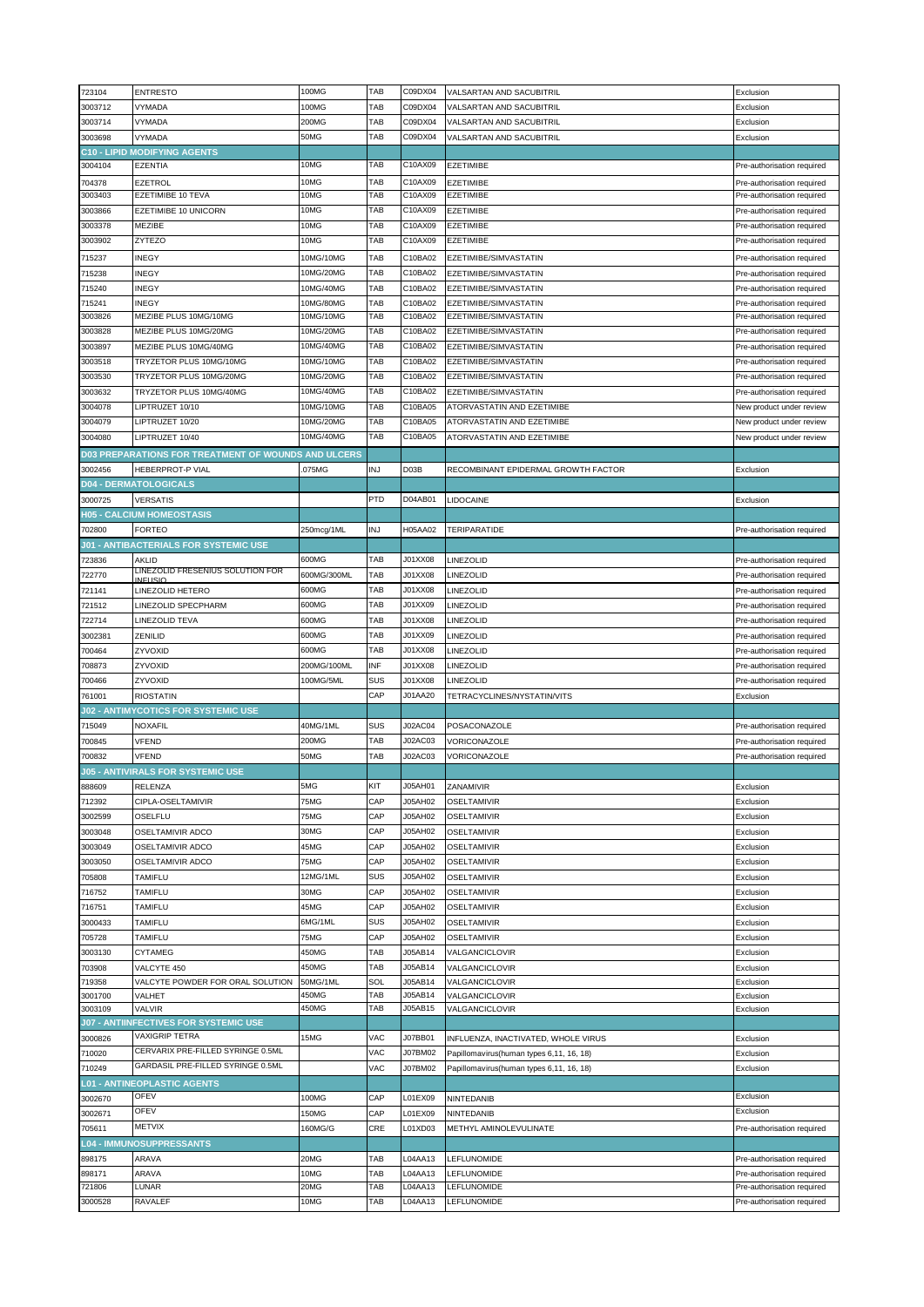| 723104            | <b>ENTRESTO</b>                                                | 100MG                   | TAB        | C09DX04            | VALSARTAN AND SACUBITRIL                       | Exclusion                                                |
|-------------------|----------------------------------------------------------------|-------------------------|------------|--------------------|------------------------------------------------|----------------------------------------------------------|
| 3003712           | VYMADA                                                         | 100MG                   | TAB        | C09DX04            | VALSARTAN AND SACUBITRIL                       | Exclusion                                                |
| 3003714           | VYMADA                                                         | 200MG                   | TAB        | C09DX04            | VALSARTAN AND SACUBITRIL                       | Exclusion                                                |
| 3003698           | VYMADA                                                         | 50MG                    | TAB        | C09DX04            | VALSARTAN AND SACUBITRIL                       | Exclusion                                                |
|                   | <b>C10 - LIPID MODIFYING AGENTS</b>                            |                         |            |                    |                                                |                                                          |
| 3004104           | <b>EZENTIA</b>                                                 | 10MG                    | TAB        | C10AX09            | <b>EZETIMIBE</b>                               | Pre-authorisation required                               |
| 704378            | EZETROL                                                        | 10MG                    | TAB        | C10AX09            | <b>EZETIMIBE</b>                               | Pre-authorisation required                               |
| 3003403           | EZETIMIBE 10 TEVA                                              | 10MG                    | TAB        | C10AX09            | <b>EZETIMIBE</b>                               | Pre-authorisation required                               |
| 3003866           | EZETIMIBE 10 UNICORN                                           | 10MG                    | TAB        | C10AX09            | <b>EZETIMIBE</b>                               | Pre-authorisation required                               |
| 3003378           | MEZIBE                                                         | 10MG                    | TAB        | C10AX09            | <b>EZETIMIBE</b>                               | Pre-authorisation required                               |
| 3003902           | ZYTEZO                                                         | 10MG                    | TAB        | C10AX09            | <b>EZETIMIBE</b>                               | Pre-authorisation required                               |
| 715237            | <b>INEGY</b>                                                   | 10MG/10MG               | TAB        | C10BA02            | EZETIMIBE/SIMVASTATIN                          | Pre-authorisation required                               |
| 715238            | <b>INEGY</b>                                                   | 10MG/20MG               | TAB        | C10BA02            | EZETIMIBE/SIMVASTATIN                          | Pre-authorisation required                               |
| 715240            | <b>INEGY</b>                                                   | 10MG/40MG               | TAB        | C10BA02            | EZETIMIBE/SIMVASTATIN                          | Pre-authorisation required                               |
|                   |                                                                | 10MG/80MG               | TAB        | C10BA02            |                                                |                                                          |
| 715241<br>3003826 | <b>INEGY</b><br>MEZIBE PLUS 10MG/10MG                          | 10MG/10MG               | TAB        | C10BA02            | EZETIMIBE/SIMVASTATIN<br>EZETIMIBE/SIMVASTATIN | Pre-authorisation required<br>Pre-authorisation required |
| 3003828           | MEZIBE PLUS 10MG/20MG                                          | 10MG/20MG               | TAB        | C10BA02            | EZETIMIBE/SIMVASTATIN                          | Pre-authorisation required                               |
| 3003897           | MEZIBE PLUS 10MG/40MG                                          | 10MG/40MG               | TAB        | C10BA02            | EZETIMIBE/SIMVASTATIN                          | Pre-authorisation required                               |
| 3003518           | TRYZETOR PLUS 10MG/10MG                                        | 10MG/10MG               | TAB        | C10BA02            | EZETIMIBE/SIMVASTATIN                          |                                                          |
|                   |                                                                |                         |            |                    |                                                | Pre-authorisation required                               |
| 3003530           | TRYZETOR PLUS 10MG/20MG                                        | 10MG/20MG               | ТАВ        | C10BA02            | EZETIMIBE/SIMVASTATIN                          | Pre-authorisation required                               |
| 3003632           | TRYZETOR PLUS 10MG/40MG                                        | 10MG/40MG               | TAB        | C10BA02            | EZETIMIBE/SIMVASTATIN                          | Pre-authorisation required                               |
| 3004078           | LIPTRUZET 10/10                                                | $\overline{10}$ MG/10MG | TAB        | C10BA05            | ATORVASTATIN AND EZETIMIBE                     | New product under review                                 |
| 3004079           | LIPTRUZET 10/20                                                | 10MG/20MG               | TAB        | C10BA05            | ATORVASTATIN AND EZETIMIBE                     | New product under review                                 |
| 3004080           | LIPTRUZET 10/40                                                | 10MG/40MG               | TAB        | C10BA05            | ATORVASTATIN AND EZETIMIBE                     | New product under review                                 |
|                   | D03 PREPARATIONS FOR TREATMENT OF WOUNDS AND ULCERS            |                         |            |                    |                                                |                                                          |
| 3002456           | <b>HEBERPROT-P VIAL</b>                                        | .075MG                  | INJ        | D03B               | RECOMBINANT EPIDERMAL GROWTH FACTOR            | Exclusion                                                |
|                   | <b>D04 - DERMATOLOGICALS</b>                                   |                         |            |                    |                                                |                                                          |
| 3000725           | <b>VERSATIS</b>                                                |                         | PTD        | D04AB01            | LIDOCAINE                                      | Exclusion                                                |
|                   | <b>H05 - CALCIUM HOMEOSTASIS</b>                               |                         |            |                    |                                                |                                                          |
| 702800            | <b>FORTEO</b>                                                  | 250mcg/1ML              | INJ        | H05AA02            | <b>TERIPARATIDE</b>                            | Pre-authorisation required                               |
|                   | <b>J01 - ANTIBACTERIALS FOR SYSTEMIC USE</b>                   |                         |            |                    |                                                |                                                          |
| 723836            | AKLID                                                          | 600MG                   | TAB        | J01XX08            | LINEZOLID                                      | Pre-authorisation required                               |
| 722770            | LINEZOLID FRESENIUS SOLUTION FOR                               | 600MG/300ML             | TAB        | J01XX08            | LINEZOLID                                      | Pre-authorisation required                               |
| 721141            | <b>INFLISIO</b><br>LINEZOLID HETERO                            | 600MG                   | TAB        | J01XX08            | LINEZOLID                                      | Pre-authorisation required                               |
| 721512            | LINEZOLID SPECPHARM                                            | 600MG                   | TAB        | J01XX09            | LINEZOLID                                      | Pre-authorisation required                               |
|                   |                                                                |                         | TAB        |                    |                                                |                                                          |
| 722714            | LINEZOLID TEVA                                                 | 600MG<br>600MG          | TAB        | J01XX08<br>J01XX09 | LINEZOLID                                      | Pre-authorisation required                               |
| 3002381           | ZENILID                                                        |                         | TAB        |                    | LINEZOLID                                      | Pre-authorisation required                               |
| 700464            | ZYVOXID                                                        | 600MG                   |            | J01XX08            | LINEZOLID                                      | Pre-authorisation required                               |
| 708873            | ZYVOXID                                                        | 200MG/100ML             | INF        | J01XX08            | LINEZOLID                                      | Pre-authorisation required                               |
| 700466            | ZYVOXID                                                        | 100MG/5ML               | SUS        | J01XX08            | LINEZOLID                                      | Pre-authorisation required                               |
| 761001            | <b>RIOSTATIN</b>                                               |                         | CAP        | J01AA20            | TETRACYCLINES/NYSTATIN/VITS                    | Exclusion                                                |
|                   | <b>J02 - ANTIMYCOTICS FOR SYSTEMIC USE</b>                     |                         |            |                    |                                                |                                                          |
| 715049            | <b>NOXAFIL</b>                                                 | 40MG/1ML                | SUS        | J02AC04            | POSACONAZOLE                                   | Pre-authorisation required                               |
| 700845            | VFEND                                                          | 200MG                   | TAB        | J02AC03            | VORICONAZOLE                                   | Pre-authorisation required                               |
| 700832            | VFEND                                                          | 50MG                    | TAB        | J02AC03            | VORICONAZOLE                                   | Pre-authorisation required                               |
|                   | <b>J05 - ANTIVIRALS FOR SYSTEMIC USE</b>                       |                         |            |                    |                                                |                                                          |
| 888609            | RELENZA                                                        | 5MG                     | KIT        | J05AH01            | ZANAMIVIR                                      |                                                          |
| 712392            | CIPLA-OSELTAMIVIR                                              | 75MG                    | CAP        |                    |                                                | Exclusion                                                |
| 3002599           | OSELFLU                                                        |                         |            | J05AH02            | OSELTAMIVIR                                    | Exclusion                                                |
| 3003048           |                                                                | 75MG                    | CAP        | J05AH02            | OSELTAMIVIR                                    | Exclusion                                                |
| 3003049           | OSELTAMIVIR ADCO                                               | 30MG                    | CAP        | J05AH02            | <b>OSELTAMIVIR</b>                             | Exclusion                                                |
|                   | OSELTAMIVIR ADCO                                               | 45MG                    | CAP        | J05AH02            | OSELTAMIVIR                                    | Exclusion                                                |
| 3003050           | OSELTAMIVIR ADCO                                               | 75MG                    | CAP        | J05AH02            | OSELTAMIVIR                                    | Exclusion                                                |
| 705808            | TAMIFLU                                                        | 12MG/1ML                | SUS        | J05AH02            | OSELTAMIVIR                                    | Exclusion                                                |
|                   | <b>TAMIFLU</b>                                                 | 30MG                    | CAP        | J05AH02            |                                                |                                                          |
| 716752            |                                                                | 45MG                    | CAP        | J05AH02            | OSELTAMIVIR                                    | Exclusion                                                |
| 716751            | <b>TAMIFLU</b>                                                 |                         | SUS        |                    | OSELTAMIVIR                                    | Exclusion                                                |
| 3000433           | TAMIFLU                                                        | 6MG/1ML                 |            | J05AH02            | <b>OSELTAMIVIR</b>                             | Exclusion                                                |
| 705728            | TAMIFLU                                                        | 75MG                    | CAP        | J05AH02            | OSELTAMIVIR                                    | Exclusion                                                |
| 3003130           | CYTAMEG                                                        | 450MG                   | TAB        | J05AB14            | VALGANCICLOVIR                                 | Exclusion                                                |
| 703908            | VALCYTE 450                                                    | 450MG                   | TAB        | J05AB14            | VALGANCICLOVIR                                 | Exclusion                                                |
| 719358            | VALCYTE POWDER FOR ORAL SOLUTION                               | 50MG/1ML                | SOL        | J05AB14            | VALGANCICLOVIR                                 | Exclusion                                                |
| 3001700           | VALHET                                                         | 450MG                   | TAB        | J05AB14            | VALGANCICLOVIR                                 | Exclusion                                                |
| 3003109           | VALVIR                                                         | 450MG                   | TAB        | J05AB15            | VALGANCICLOVIR                                 | Exclusion                                                |
|                   | <b>J07 - ANTIINFECTIVES FOR SYSTEMIC USE</b><br>VAXIGRIP TETRA |                         |            |                    |                                                |                                                          |
| 3000826           | CERVARIX PRE-FILLED SYRINGE 0.5ML                              | 15MG                    | VAC        | J07BB01            | INFLUENZA, INACTIVATED, WHOLE VIRUS            | Exclusion                                                |
| 710020            |                                                                |                         | VAC        | J07BM02            | Papillomavirus(human types 6,11, 16, 18)       | Exclusion                                                |
| 710249            | GARDASIL PRE-FILLED SYRINGE 0.5ML                              |                         | VAC        | J07BM02            | Papillomavirus(human types 6,11, 16, 18)       | Exclusion                                                |
|                   | <b>L01 - ANTINEOPLASTIC AGENTS</b>                             |                         |            |                    |                                                |                                                          |
| 3002670           | OFEV                                                           | 100MG                   | CAP        | L01EX09            | NINTEDANIB                                     | Exclusion                                                |
| 3002671           | OFEV                                                           | 150MG                   | CAP        | L01EX09            | <b>NINTEDANIB</b>                              | Exclusion                                                |
| 705611            | <b>METVIX</b>                                                  | 160MG/G                 | CRE        | L01XD03            | METHYL AMINOLEVULINATE                         | Pre-authorisation required                               |
|                   | <b>L04 - IMMUNOSUPPRESSANTS</b>                                |                         |            |                    |                                                |                                                          |
| 898175            | ARAVA                                                          | 20MG                    | TAB        | L04AA13            | LEFLUNOMIDE                                    | Pre-authorisation required                               |
| 898171            | ARAVA                                                          | 10MG                    | TAB        | L04AA13            | LEFLUNOMIDE                                    | Pre-authorisation required                               |
| 721806<br>3000528 | LUNAR<br>RAVALEF                                               | 20MG<br>10MG            | TAB<br>TAB | L04AA13<br>L04AA13 | LEFLUNOMIDE<br>LEFLUNOMIDE                     | Pre-authorisation required<br>Pre-authorisation required |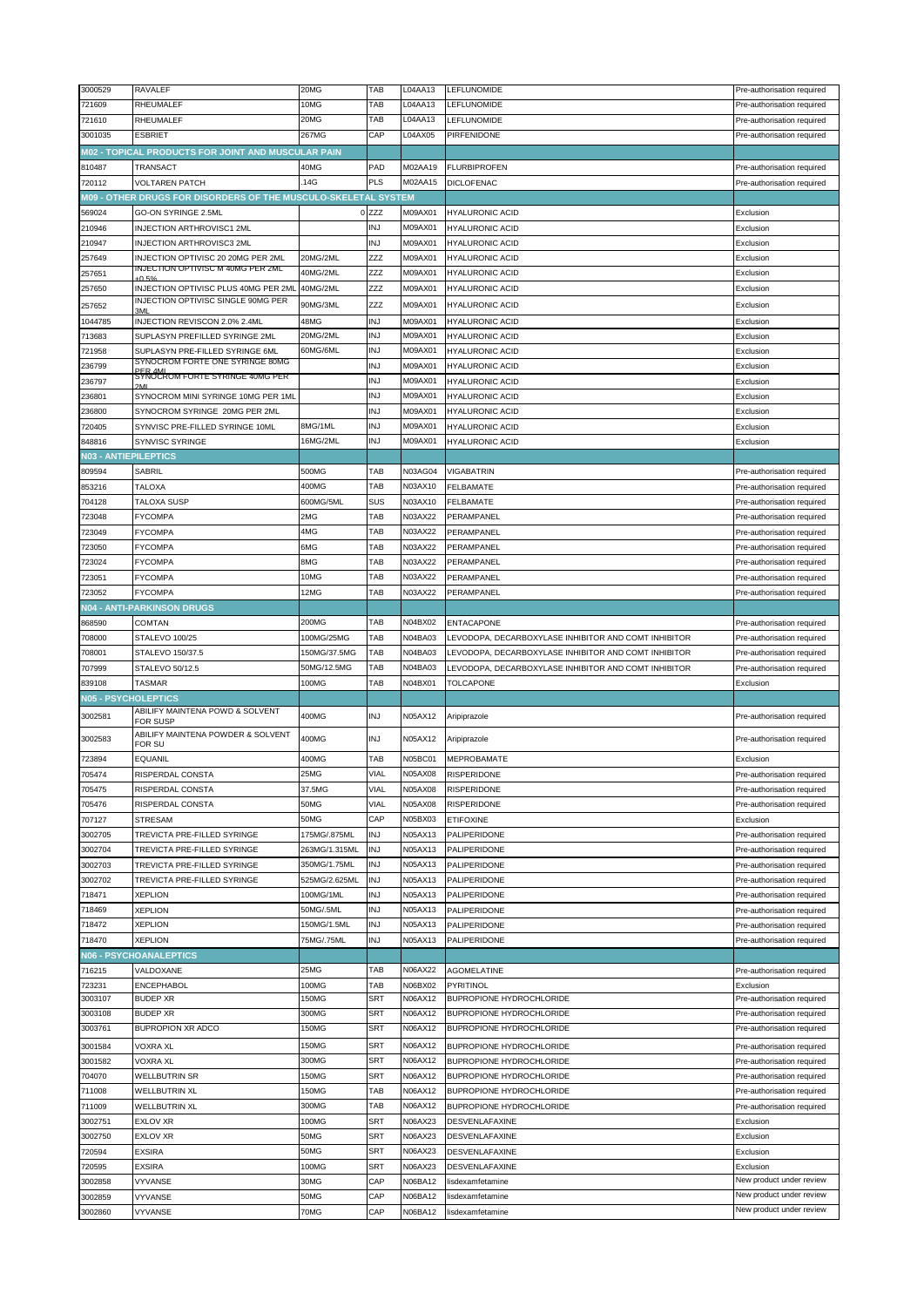| 3000529                     | RAVALEF                                                        | 20MG                     | TAB              | L04AA13            | LEFLUNOMIDE                                          | Pre-authorisation required                           |
|-----------------------------|----------------------------------------------------------------|--------------------------|------------------|--------------------|------------------------------------------------------|------------------------------------------------------|
| 721609                      | RHEUMALEF                                                      | 10MG                     | TAB              | L04AA13            | LEFLUNOMIDE                                          | Pre-authorisation required                           |
| 721610                      | RHEUMALEF                                                      | $20\overline{\text{MG}}$ | TAB              | L04AA13            | LEFLUNOMIDE                                          | Pre-authorisation required                           |
| 3001035                     | <b>ESBRIET</b>                                                 | 267MG                    | CAP              | L04AX05            | PIRFENIDONE                                          | Pre-authorisation required                           |
|                             |                                                                |                          |                  |                    |                                                      |                                                      |
|                             | M02 - TOPICAL PRODUCTS FOR JOINT AND MUSCULAR PAIN             |                          |                  |                    |                                                      |                                                      |
| 810487                      | TRANSACT                                                       | 40MG                     | PAD              | M02AA19            | <b>FLURBIPROFEN</b>                                  | Pre-authorisation required                           |
| 720112                      | <b>VOLTAREN PATCH</b>                                          | .14G                     | <b>PLS</b>       | M02AA15            | <b>DICLOFENAC</b>                                    | Pre-authorisation required                           |
|                             | M09 - OTHER DRUGS FOR DISORDERS OF THE MUSCULO-SKELETAL SYSTEM |                          |                  |                    |                                                      |                                                      |
| 569024                      | GO-ON SYRINGE 2.5ML                                            |                          | 0 <sub>ZZZ</sub> | M09AX01            | <b>HYALURONIC ACID</b>                               | Exclusion                                            |
| 210946                      | <b>INJECTION ARTHROVISC1 2ML</b>                               |                          | <b>INJ</b>       | M09AX01            | <b>HYALURONIC ACID</b>                               | Exclusion                                            |
| 210947                      | <b>INJECTION ARTHROVISC3 2ML</b>                               |                          | <b>INJ</b>       | M09AX01            | <b>HYALURONIC ACID</b>                               | Exclusion                                            |
| 257649                      | INJECTION OPTIVISC 20 20MG PER 2ML                             | 20MG/2ML                 | ZZZ              | M09AX01            | <b>HYALURONIC ACID</b>                               | Exclusion                                            |
|                             | INJECTION OPTIVISC M 40MG PER 2ML                              | 40MG/2ML                 | ZZZ              | M09AX01            | <b>HYALURONIC ACID</b>                               | Exclusion                                            |
| 257651                      | $\bigcap$ <sub>50</sub>                                        |                          |                  |                    |                                                      |                                                      |
| 257650                      | INJECTION OPTIVISC PLUS 40MG PER 2MI                           | 40MG/2ML                 | ZZZ              | M09AX01            | <b>HYALURONIC ACID</b>                               | Exclusion                                            |
| 257652                      | INJECTION OPTIVISC SINGLE 90MG PER<br>3MI                      | 90MG/3ML                 | ZZZ              | M09AX01            | <b>HYALURONIC ACID</b>                               | Exclusion                                            |
| 1044785                     | INJECTION REVISCON 2.0% 2.4ML                                  | 48MG                     | <b>INJ</b>       | M09AX01            | <b>HYALURONIC ACID</b>                               | Exclusion                                            |
| 713683                      | SUPLASYN PREFILLED SYRINGE 2ML                                 | 20MG/2ML                 | <b>INJ</b>       | M09AX01            | <b>HYALURONIC ACID</b>                               | Exclusion                                            |
| 721958                      | SUPLASYN PRE-FILLED SYRINGE 6ML                                | 60MG/6ML                 | <b>INJ</b>       | M09AX01            | <b>HYALURONIC ACID</b>                               | Exclusion                                            |
| 236799                      | SYNOCROM FORTE ONE SYRINGE 80MG                                |                          | <b>INJ</b>       | M09AX01            | <b>HYALURONIC ACID</b>                               |                                                      |
|                             | BER 4ML<br>SYNOCROM FORTE SYRINGE 40MG PER                     |                          |                  |                    |                                                      | Exclusion                                            |
| 236797                      |                                                                |                          | <b>INJ</b>       | M09AX01            | <b>HYALURONIC ACID</b>                               | Exclusion                                            |
| 236801                      | SYNOCROM MINI SYRINGE 10MG PER 1ML                             |                          | <b>INJ</b>       | M09AX01            | <b>HYALURONIC ACID</b>                               | Exclusion                                            |
| 236800                      | SYNOCROM SYRINGE 20MG PER 2ML                                  |                          | <b>INJ</b>       | M09AX01            | <b>HYALURONIC ACID</b>                               | Exclusion                                            |
| 720405                      | SYNVISC PRE-FILLED SYRINGE 10ML                                | 8MG/1ML                  | INJ              | M09AX01            | <b>HYALURONIC ACID</b>                               | Exclusion                                            |
| 848816                      | <b>SYNVISC SYRINGE</b>                                         | 16MG/2ML                 | <b>INJ</b>       | M09AX01            | <b>HYALURONIC ACID</b>                               | Exclusion                                            |
| <b>N03 - ANTIEPILEPTICS</b> |                                                                |                          |                  |                    |                                                      |                                                      |
| 809594                      | SABRIL                                                         | 500MG                    | TAB              | N03AG04            | <b>VIGABATRIN</b>                                    | Pre-authorisation required                           |
|                             |                                                                |                          |                  | N03AX10            |                                                      |                                                      |
| 853216                      | <b>TALOXA</b>                                                  | 400MG                    | TAB              |                    | <b>FELBAMATE</b>                                     | Pre-authorisation required                           |
| 704128                      | TALOXA SUSP                                                    | 600MG/5ML                | SUS              | N03AX10            | FELBAMATE                                            | Pre-authorisation required                           |
| 723048                      | <b>FYCOMPA</b>                                                 | 2MG                      | TAB              | N03AX22            | PERAMPANEL                                           | Pre-authorisation required                           |
| 723049                      | FYCOMPA                                                        | 4MG                      | TAB              | N03AX22            | PERAMPANEL                                           | Pre-authorisation required                           |
| 723050                      | <b>FYCOMPA</b>                                                 | 6MG                      | TAB              | N03AX22            | PERAMPANEL                                           | Pre-authorisation required                           |
| 723024                      | <b>FYCOMPA</b>                                                 | 8MG                      | TAB              | N03AX22            | PERAMPANEL                                           | Pre-authorisation required                           |
| 723051                      | <b>FYCOMPA</b>                                                 | 10MG                     | TAB              | N03AX22            | PERAMPANEL                                           | Pre-authorisation required                           |
| 723052                      | <b>FYCOMPA</b>                                                 | 12MG                     | TAB              | N03AX22            | PERAMPANEL                                           |                                                      |
|                             |                                                                |                          |                  |                    |                                                      | Pre-authorisation required                           |
|                             | N04 - ANTI-PARKINSON DRUGS                                     |                          |                  |                    |                                                      |                                                      |
| 868590                      | COMTAN                                                         | 200MG                    | TAB              | N04BX02            | <b>ENTACAPONE</b>                                    | Pre-authorisation required                           |
| 708000                      | <b>STALEVO 100/25</b>                                          | 100MG/25MG               | TAB              | N04BA03            | LEVODOPA, DECARBOXYLASE INHIBITOR AND COMT INHIBITOR | Pre-authorisation required                           |
|                             |                                                                |                          |                  |                    |                                                      |                                                      |
| 708001                      | STALEVO 150/37.5                                               | 150MG/37.5MG             | TAB              | N04BA03            | LEVODOPA, DECARBOXYLASE INHIBITOR AND COMT INHIBITOR | Pre-authorisation required                           |
| 707999                      | STALEVO 50/12.5                                                | 50MG/12.5MG              | TAB              | N04BA03            | LEVODOPA, DECARBOXYLASE INHIBITOR AND COMT INHIBITOR | Pre-authorisation required                           |
|                             |                                                                | 100MG                    | TAB              | N04BX01            |                                                      |                                                      |
| 839108                      | <b>TASMAR</b>                                                  |                          |                  |                    | <b>TOLCAPONE</b>                                     | Exclusion                                            |
| <b>N05 - PSYCHOLEPTICS</b>  |                                                                |                          |                  |                    |                                                      |                                                      |
| 3002581                     | ABILIFY MAINTENA POWD & SOLVENT<br>FOR SUSP                    | 400MG                    | <b>INJ</b>       | N05AX12            | Aripiprazole                                         | Pre-authorisation required                           |
|                             | ABILIFY MAINTENA POWDER & SOLVENT                              |                          |                  |                    |                                                      |                                                      |
| 3002583                     | <b>FOR SU</b>                                                  | 400MG                    | <b>INJ</b>       | N05AX12            | Aripiprazole                                         | Pre-authorisation required                           |
| 723894                      | <b>EQUANIL</b>                                                 | 400MG                    | TAB              | N05BC01            | <b>MEPROBAMATE</b>                                   | Exclusion                                            |
| 705474                      | RISPERDAL CONSTA                                               | 25MG                     | VIAL             | N05AX08            | <b>RISPERIDONE</b>                                   | Pre-authorisation required                           |
|                             |                                                                |                          |                  |                    |                                                      |                                                      |
| 705475                      | RISPERDAL CONSTA                                               | 37.5MG                   | VIAL             | N05AX08            | <b>RISPERIDONE</b>                                   | Pre-authorisation required                           |
| 705476                      | RISPERDAL CONSTA                                               | 50MG                     | <b>VIAL</b>      | N05AX08            | <b>RISPERIDONE</b>                                   | Pre-authorisation required                           |
| 707127                      | <b>STRESAM</b>                                                 | 50MG                     | CAP              | N05BX03            | <b>ETIFOXINE</b>                                     | Exclusion                                            |
| 3002705                     | TREVICTA PRE-FILLED SYRINGE                                    | 175MG/.875ML             | <b>INJ</b>       | N05AX13            | PALIPERIDONE                                         | Pre-authorisation required                           |
| 3002704                     | TREVICTA PRE-FILLED SYRINGE                                    | 263MG/1.315ML            | INJ              | N05AX13            | PALIPERIDONE                                         | Pre-authorisation required                           |
| 3002703                     | TREVICTA PRE-FILLED SYRINGE                                    | 350MG/1.75ML             | <b>INJ</b>       | N05AX13            | PALIPERIDONE                                         | Pre-authorisation required                           |
| 3002702                     | TREVICTA PRE-FILLED SYRINGE                                    | 525MG/2.625ML            | <b>INJ</b>       | N05AX13            | PALIPERIDONE                                         | Pre-authorisation required                           |
| 718471                      | <b>XEPLION</b>                                                 | 100MG/1ML                | <b>INJ</b>       | N05AX13            | PALIPERIDONE                                         | Pre-authorisation required                           |
| 718469                      | <b>XEPLION</b>                                                 | 50MG/.5ML                | <b>INJ</b>       | N05AX13            | PALIPERIDONE                                         | Pre-authorisation required                           |
|                             |                                                                | 150MG/1.5ML              | <b>INJ</b>       |                    |                                                      |                                                      |
| 718472                      | <b>XEPLION</b>                                                 |                          |                  | N05AX13            | PALIPERIDONE                                         | Pre-authorisation required                           |
| 718470                      | <b>XEPLION</b>                                                 | 75MG/.75ML               | INJ              | N05AX13            | PALIPERIDONE                                         | Pre-authorisation required                           |
|                             | <b>N06 - PSYCHOANALEPTICS</b>                                  |                          |                  |                    |                                                      |                                                      |
| 716215                      | VALDOXANE                                                      | 25MG                     | TAB              | N06AX22            | <b>AGOMELATINE</b>                                   | Pre-authorisation required                           |
| 723231                      | ENCEPHABOL                                                     | 100MG                    | TAB              | N06BX02            | PYRITINOL                                            | Exclusion                                            |
| 3003107                     | BUDEP XR                                                       | 150MG                    | SRT              | N06AX12            | BUPROPIONE HYDROCHLORIDE                             | Pre-authorisation required                           |
| 3003108                     | <b>BUDEP XR</b>                                                | 300MG                    | SRT              | N06AX12            | BUPROPIONE HYDROCHLORIDE                             | Pre-authorisation required                           |
| 3003761                     | BUPROPION XR ADCO                                              | 150MG                    | SRT              | N06AX12            | BUPROPIONE HYDROCHLORIDE                             | Pre-authorisation required                           |
|                             |                                                                |                          |                  |                    |                                                      |                                                      |
| 3001584                     | <b>VOXRA XL</b>                                                | 150MG                    | SRT              | N06AX12            | BUPROPIONE HYDROCHLORIDE                             | Pre-authorisation required                           |
| 3001582                     | VOXRA XL                                                       | 300MG                    | SRT              | N06AX12            | BUPROPIONE HYDROCHLORIDE                             | Pre-authorisation required                           |
| 704070                      | WELLBUTRIN SR                                                  | 150MG                    | SRT              | N06AX12            | BUPROPIONE HYDROCHLORIDE                             | Pre-authorisation required                           |
| 711008                      | WELLBUTRIN XL                                                  | 150MG                    | TAB              | N06AX12            | BUPROPIONE HYDROCHLORIDE                             | Pre-authorisation required                           |
| 711009                      | WELLBUTRIN XL                                                  | 300MG                    | TAB              | N06AX12            | BUPROPIONE HYDROCHLORIDE                             | Pre-authorisation required                           |
| 3002751                     | EXLOV XR                                                       | 100MG                    | SRT              | N06AX23            | DESVENLAFAXINE                                       | Exclusion                                            |
| 3002750                     | <b>EXLOV XR</b>                                                | 50MG                     | SRT              | N06AX23            | <b>DESVENLAFAXINE</b>                                | Exclusion                                            |
|                             |                                                                |                          |                  |                    |                                                      |                                                      |
| 720594                      | <b>EXSIRA</b>                                                  | 50MG                     | SRT              | N06AX23            | DESVENLAFAXINE                                       | Exclusion                                            |
| 720595                      | <b>EXSIRA</b>                                                  | 100MG                    | SRT              | N06AX23            | <b>DESVENLAFAXINE</b>                                | Exclusion                                            |
| 3002858                     | VYVANSE                                                        | 30MG                     | CAP              | N06BA12            | lisdexamfetamine                                     | New product under review                             |
| 3002859<br>3002860          | VYVANSE<br>VYVANSE                                             | 50MG<br>70MG             | CAP<br>CAP       | N06BA12<br>N06BA12 | lisdexamfetamine                                     | New product under review<br>New product under review |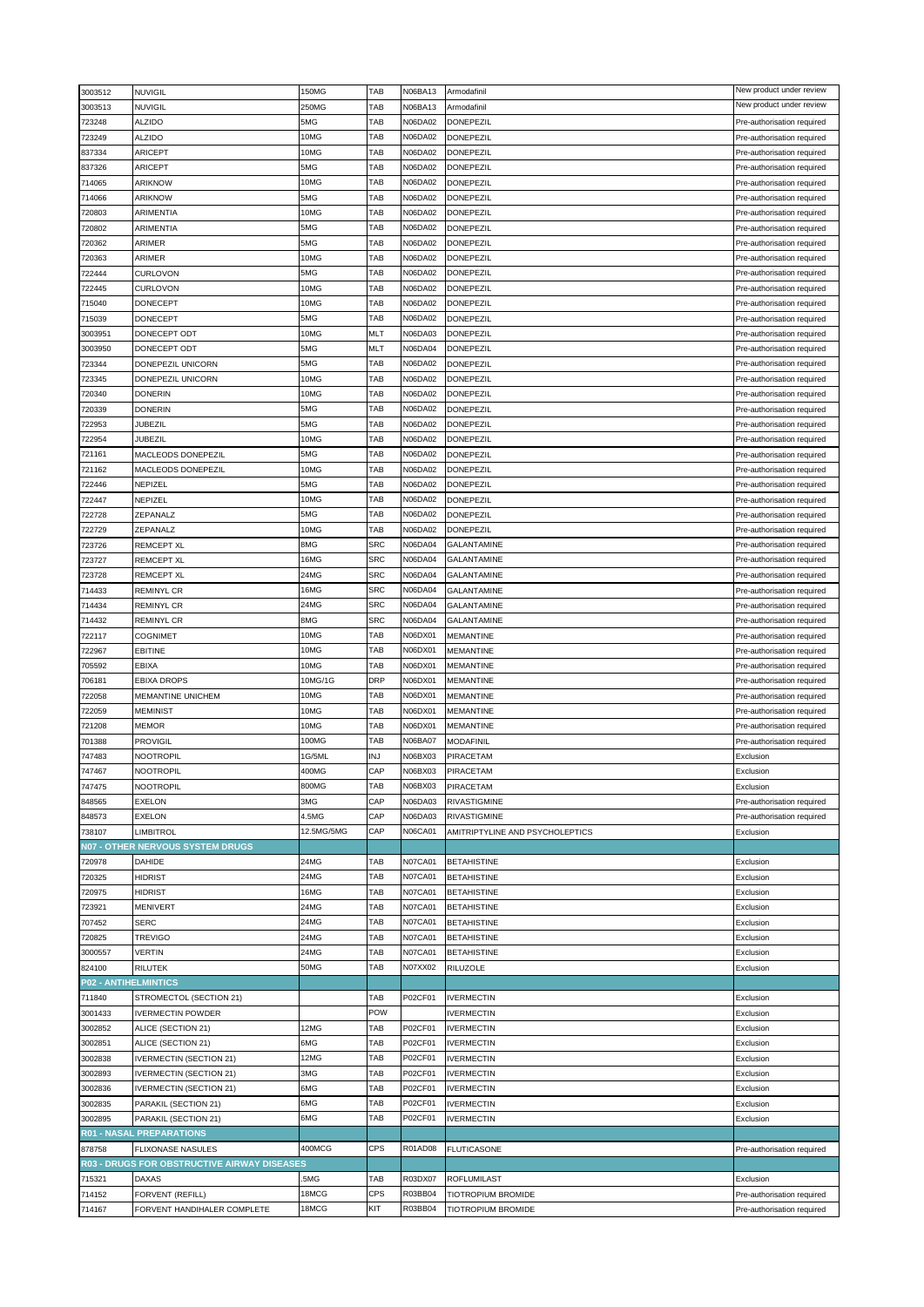| 3003512                     | <b>NUVIGIL</b>                              | 150MG      | TAB        | N06BA13        | Armodafinil                     | New product under review   |
|-----------------------------|---------------------------------------------|------------|------------|----------------|---------------------------------|----------------------------|
| 3003513                     | <b>NUVIGIL</b>                              | 250MG      | TAB        | N06BA13        | Armodafinil                     | New product under review   |
| 723248                      | <b>ALZIDO</b>                               | 5MG        | TAB        | N06DA02        | DONEPEZIL                       | Pre-authorisation required |
| 723249                      | <b>ALZIDO</b>                               | 10MG       | TAB        | N06DA02        | DONEPEZIL                       | Pre-authorisation required |
| 837334                      | <b>ARICEPT</b>                              | 10MG       | TAB        | N06DA02        | <b>DONEPEZIL</b>                | Pre-authorisation required |
| 837326                      | <b>ARICEPT</b>                              | 5MG        | TAB        | N06DA02        | DONEPEZIL                       | Pre-authorisation required |
| 714065                      | ARIKNOW                                     | 10MG       | TAB        | N06DA02        | DONEPEZIL                       | Pre-authorisation required |
| 714066                      | ARIKNOW                                     | 5MG        | TAB        | N06DA02        | DONEPEZIL                       | Pre-authorisation required |
|                             | ARIMENTIA                                   | 10MG       | TAB        | N06DA02        | DONEPEZIL                       |                            |
| 720803                      |                                             |            | TAB        |                |                                 | Pre-authorisation required |
| 720802                      | ARIMENTIA                                   | 5MG        |            | N06DA02        | DONEPEZIL                       | Pre-authorisation required |
| 720362                      | ARIMER                                      | 5MG        | TAB        | N06DA02        | DONEPEZIL                       | Pre-authorisation required |
| 720363                      | ARIMER                                      | 10MG       | TAB        | N06DA02        | DONEPEZIL                       | Pre-authorisation required |
| 722444                      | <b>CURLOVON</b>                             | 5MG        | TAB        | N06DA02        | DONEPEZIL                       | Pre-authorisation required |
| 722445                      | <b>CURLOVON</b>                             | 10MG       | TAB        | N06DA02        | <b>DONEPEZIL</b>                | Pre-authorisation required |
| 715040                      | DONECEPT                                    | 10MG       | TAB        | N06DA02        | DONEPEZIL                       | Pre-authorisation required |
| 715039                      | DONECEPT                                    | 5MG        | TAB        | N06DA02        | DONEPEZIL                       | Pre-authorisation required |
| 3003951                     | DONECEPT ODT                                | 10MG       | MLT        | N06DA03        | <b>DONEPEZIL</b>                | Pre-authorisation required |
| 3003950                     | DONECEPT ODT                                | 5MG        | MLT        | N06DA04        | DONEPEZIL                       | Pre-authorisation required |
| 723344                      | DONEPEZIL UNICORN                           | 5MG        | TAB        | N06DA02        | DONEPEZIL                       | Pre-authorisation required |
| 723345                      | DONEPEZIL UNICORN                           | 10MG       | TAB        | N06DA02        | DONEPEZIL                       | Pre-authorisation required |
| 720340                      | <b>DONERIN</b>                              | 10MG       | TAB        | N06DA02        | <b>DONEPEZIL</b>                | Pre-authorisation required |
| 720339                      | <b>DONERIN</b>                              | 5MG        | TAB        | N06DA02        | DONEPEZIL                       | Pre-authorisation required |
| 722953                      | JUBEZIL                                     | 5MG        | TAB        | N06DA02        | <b>DONEPEZIL</b>                | Pre-authorisation required |
| 722954                      | JUBEZIL                                     | 10MG       | TAB        | N06DA02        | DONEPEZIL                       | Pre-authorisation required |
| 721161                      | <b>MACLEODS DONEPEZIL</b>                   | 5MG        | TAB        | N06DA02        |                                 |                            |
|                             |                                             |            |            |                | <b>DONEPEZIL</b>                | Pre-authorisation required |
| 721162                      | MACLEODS DONEPEZIL                          | 10MG       | TAB        | N06DA02        | DONEPEZIL                       | Pre-authorisation required |
| 722446                      | NEPIZEL                                     | 5MG        | TAB        | N06DA02        | <b>DONEPEZIL</b>                | Pre-authorisation required |
| 722447                      | NEPIZEL                                     | 10MG       | TAB        | N06DA02        | DONEPEZIL                       | Pre-authorisation required |
| 722728                      | ZEPANALZ                                    | 5MG        | TAB        | N06DA02        | <b>DONEPEZIL</b>                | Pre-authorisation required |
| 722729                      | ZEPANALZ                                    | 10MG       | TAB        | N06DA02        | DONEPEZIL                       | Pre-authorisation required |
| 723726                      | <b>REMCEPT XL</b>                           | 8MG        | <b>SRC</b> | N06DA04        | GALANTAMINE                     | Pre-authorisation required |
| 723727                      | <b>REMCEPT XL</b>                           | 16MG       | <b>SRC</b> | N06DA04        | GALANTAMINE                     | Pre-authorisation required |
| 723728                      | REMCEPT XL                                  | 24MG       | <b>SRC</b> | N06DA04        | GALANTAMINE                     | Pre-authorisation required |
| 714433                      | <b>REMINYL CR</b>                           | 16MG       | <b>SRC</b> | N06DA04        | <b>GALANTAMINE</b>              | Pre-authorisation required |
| 714434                      | <b>REMINYL CR</b>                           | 24MG       | <b>SRC</b> | N06DA04        | GALANTAMINE                     | Pre-authorisation required |
| 714432                      | <b>REMINYL CR</b>                           | 8MG        | <b>SRC</b> | N06DA04        | GALANTAMINE                     | Pre-authorisation required |
| 722117                      | COGNIMET                                    | 10MG       | TAB        | N06DX01        | MEMANTINE                       | Pre-authorisation required |
| 722967                      | EBITINE                                     | 10MG       | TAB        | N06DX01        | <b>MEMANTINE</b>                | Pre-authorisation required |
|                             |                                             | 10MG       | TAB        | N06DX01        |                                 |                            |
| 705592                      | EBIXA                                       |            |            |                | MEMANTINE                       | Pre-authorisation required |
| 706181                      | <b>EBIXA DROPS</b>                          | 10MG/1G    | <b>DRP</b> | N06DX01        | MEMANTINE                       | Pre-authorisation required |
| 722058                      | <b>MEMANTINE UNICHEM</b>                    | 10MG       | TAB        | N06DX01        | MEMANTINE                       | Pre-authorisation required |
| 722059                      | <b>MEMINIST</b>                             | 10MG       | TAB        | N06DX01        | <b>MEMANTINE</b>                | Pre-authorisation required |
| 721208                      | MEMOR                                       | 10MG       | TAB        | N06DX01        | MEMANTINE                       | Pre-authorisation required |
| 701388                      | <b>PROVIGIL</b>                             | 100MG      | TAB        | N06BA07        | <b>MODAFINIL</b>                | Pre-authorisation required |
| 747483                      | NOOTROPIL                                   | 1G/5ML     | INJ        | N06BX03        | PIRACETAM                       | Exclusion                  |
| 747467                      | NOOTROPIL                                   | 400MG      | CAP        | N06BX03        | PIRACETAM                       | Exclusion                  |
| 747475                      | <b>NOOTROPIL</b>                            | 800MG      | TAB        | N06BX03        | PIRACETAM                       | Exclusion                  |
| 848565                      | <b>EXELON</b>                               | 3MG        | CAP        | N06DA03        | <b>RIVASTIGMINE</b>             | Pre-authorisation required |
| 848573                      | <b>EXELON</b>                               | 4.5MG      | CAP        | N06DA03        | <b>RIVASTIGMINE</b>             | Pre-authorisation required |
| 738107                      | <b>LIMBITROL</b>                            | 12.5MG/5MG | CAP        | N06CA01        | AMITRIPTYLINE AND PSYCHOLEPTICS | Exclusion                  |
|                             | N07 - OTHER NERVOUS SYSTEM DRUGS            |            |            |                |                                 |                            |
| 720978                      | <b>DAHIDE</b>                               | 24MG       | TAB        | <b>N07CA01</b> | <b>BETAHISTINE</b>              | Exclusion                  |
| 720325                      | <b>HIDRIST</b>                              | 24MG       | TAB        | <b>N07CA01</b> | <b>BETAHISTINE</b>              | Exclusion                  |
|                             | <b>HIDRIST</b>                              | 16MG       | TAB        | N07CA01        | <b>BETAHISTINE</b>              |                            |
| 720975                      |                                             |            | TAB        |                |                                 | Exclusion                  |
| 723921                      | MENIVERT                                    | 24MG       |            | N07CA01        | <b>BETAHISTINE</b>              | Exclusion                  |
| 707452                      | <b>SERC</b>                                 | 24MG       | TAB        | N07CA01        | <b>BETAHISTINE</b>              | Exclusion                  |
| 720825                      | <b>TREVIGO</b>                              | 24MG       | TAB        | <b>N07CA01</b> | <b>BETAHISTINE</b>              | Exclusion                  |
| 3000557                     | <b>VERTIN</b>                               | 24MG       | TAB        | <b>N07CA01</b> | <b>BETAHISTINE</b>              | Exclusion                  |
| 824100                      | <b>RILUTEK</b>                              | 50MG       | TAB        | N07XX02        | RILUZOLE                        | Exclusion                  |
| <b>P02 - ANTIHELMINTICS</b> |                                             |            |            |                |                                 |                            |
| 711840                      | STROMECTOL (SECTION 21)                     |            | TAB        | P02CF01        | <b>IVERMECTIN</b>               | Exclusion                  |
| 3001433                     | <b>IVERMECTIN POWDER</b>                    |            | POW        |                | <b>IVERMECTIN</b>               | Exclusion                  |
| 3002852                     | ALICE (SECTION 21)                          | 12MG       | TAB        | P02CF01        | <b>IVERMECTIN</b>               | Exclusion                  |
| 3002851                     | ALICE (SECTION 21)                          | 6MG        | TAB        | P02CF01        | <b>IVERMECTIN</b>               | Exclusion                  |
| 3002838                     | <b>IVERMECTIN (SECTION 21)</b>              | 12MG       | TAB        | P02CF01        | <b>IVERMECTIN</b>               | Exclusion                  |
| 3002893                     | <b>IVERMECTIN (SECTION 21)</b>              | 3MG        | TAB        | P02CF01        | <b>IVERMECTIN</b>               | Exclusion                  |
| 3002836                     | <b>IVERMECTIN (SECTION 21)</b>              | 6MG        | TAB        | P02CF01        | <b>IVERMECTIN</b>               | Exclusion                  |
| 3002835                     | PARAKIL (SECTION 21)                        | 6MG        | TAB        | P02CF01        | <b>IVERMECTIN</b>               | Exclusion                  |
|                             |                                             | 6MG        | TAB        | P02CF01        |                                 |                            |
| 3002895                     | PARAKIL (SECTION 21)                        |            |            |                | <b>IVERMECTIN</b>               | Exclusion                  |
|                             | <b>R01 - NASAL PREPARATIONS</b>             |            |            |                |                                 |                            |
| 878758                      | <b>FLIXONASE NASULES</b>                    | 400MCG     | <b>CPS</b> | <b>R01AD08</b> | <b>FLUTICASONE</b>              | Pre-authorisation required |
|                             | R03 - DRUGS FOR OBSTRUCTIVE AIRWAY DISEASES |            |            |                |                                 |                            |
| 715321                      | <b>DAXAS</b>                                | .5MG       | TAB        | R03DX07        | <b>ROFLUMILAST</b>              | Exclusion                  |
| 714152                      | FORVENT (REFILL)                            | 18MCG      | <b>CPS</b> | R03BB04        | TIOTROPIUM BROMIDE              | Pre-authorisation required |
| 714167                      | FORVENT HANDIHALER COMPLETE                 | 18MCG      | KIT        | R03BB04        | TIOTROPIUM BROMIDE              | Pre-authorisation required |